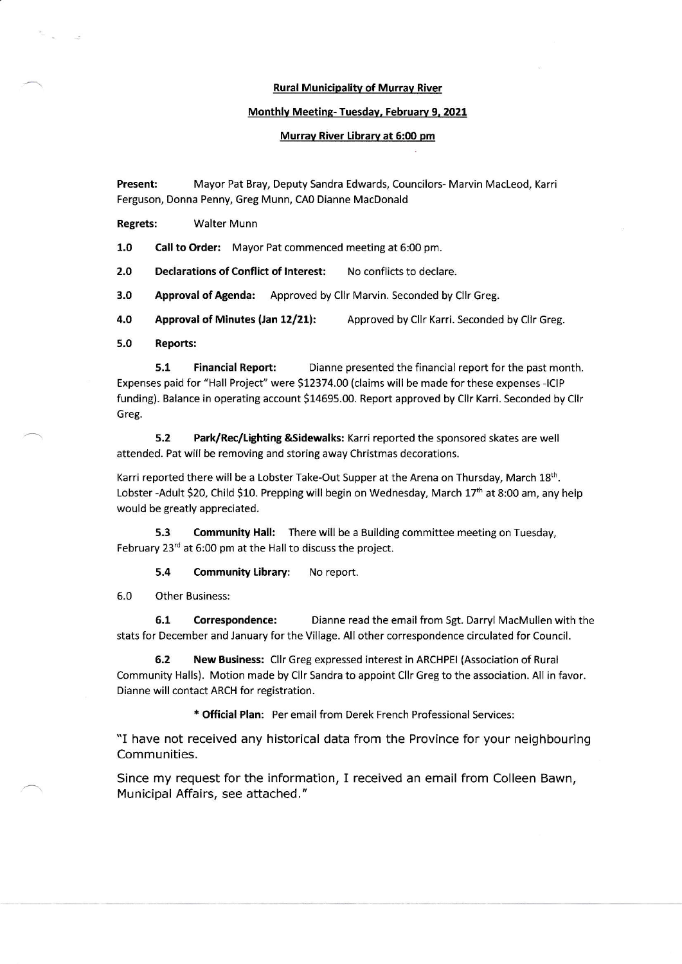### Rural Municipality of Murray River

#### Monthlv Meetinq- Tuesdav. Februarv 9, 2021

#### Murray River Library at 6:00 pm

Present: Mayor Pat Bray, Deputy Sandra Edwards, Councilors- Marvin MacLeod, Karri Ferguson, Donna Penny, Greg Munn, CAo Dianne MacDonald

Regrets: Walter Munn

1.0 Call to Order: Mayor Pat commenced meeting at 6:00 pm.

2.0 Declarations of Conflict of Interest: No conflicts to declare.

3.0 Approval of Agenda: Approved by Cllr Marvin. Seconded by Cllr Greg.

4.0 Approval of Minutes (Jan 12/21): Approved by Cllr Karri. Seconded by Cllr Greg.

5.0 Reports:

**5.1** Financial Report: Dianne presented the financial report for the past month. Expenses paid for "Hall Project" were \$12374.00 (claims will be made for these expenses -ICIP funding). Balance in operating account \$14695.00. Report approved by Cllr Karri. Seconded by Cllr Greg.

5.2 Park/Rec/tighting &Sidewalks: Karri reported the sponsored skates are well attended. Pat will be removing and storing away Christmas decorations.

Karri reported there will be a Lobster Take-Out Supper at the Arena on Thursday, March 18<sup>th</sup>. Lobster -Adult \$20, Child \$10. Prepping will begin on Wednesday, March 17<sup>th</sup> at 8:00 am, any help would be greatly appreciated.

5.3 Community Hall: There will be a Building committee meeting on Tuesday, February  $23<sup>rd</sup>$  at 6:00 pm at the Hall to discuss the project.

5.4 Community Library: No report.

6.0 Other Business;

6.1 Correspondence: Dianne read the email from Sgt. Darryl MacMullen with the stats for December and January for the Village. All other correspondence circulated for Council.

6.2 New Business: Cllr Greg expressed interest in ARCHPEI (Association of Rural Community Halls). Motion made by Cllr Sandra to appoint Cllr Greg to the association. All in favor. Dianne will contact ARCH for registration.

\* Official Plan: Per email from Derek French Professional Services:

"I have not received any historical data from the Province for your neighbouring Communities.

Since my request for the information, I received an email from Colleen Bawn. Municipal Affairs, see attached. "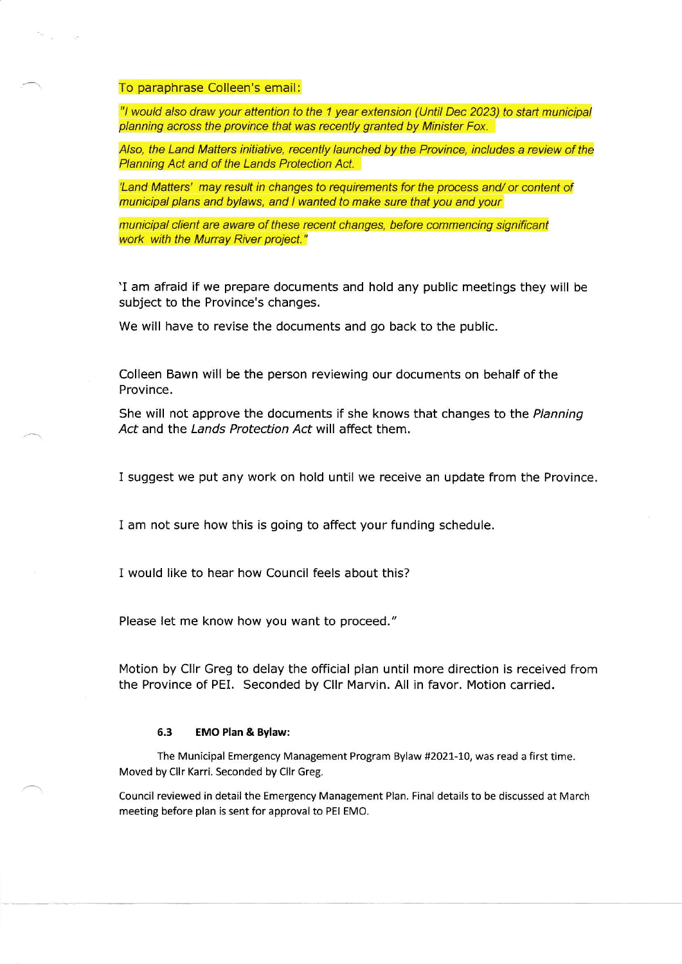# To paraphrase Colleen's email:

"l would also draw your attention to the 1 year extension (Until Dec 2023) to start municipal planning across the province that was recently granted by Minister Fox.

Also, the Land Matters initiative, recently launched by the Province, includes a review of the Planning Act and of the Lands Protection Act.

'Land Matters' may result in changes to requirements for the process and/ or content of municipal plans and bylaws, and I wanted to make sure that you and your

municipal client are aware of these recent changes, before commencing significant work with the Murray River project."

'I am afraid if we prepare documents and hold any public meetings they will be subject to the Province's changes.

We will have to revise the documents and go back to the public.

Colleen Bawn will be the person reviewing our documents on behalf of the Province.

She will not approve the documents if she knows that changes to the Planning Act and the Lands Protection Act will affect them.

I suggest we put any work on hold until we receive an update from the Province.

I am not sure how this is going to affect your funding schedule.

I would Iike to hear how Council feels about this?

Please let me know how you want to proceed."

Motion by Cllr Greg to delay the official plan until more direction is received from the Province of PEL Seconded by Cllr Marvin. All in favor. Motion carried.

## 6.3 EMO Plan & Bylaw:

The Municipal Emergency Management Program Bylaw #2021-10, was read a first time. Moved by Cllr Karri. Seconded by Cllr Greg.

Council reviewed in detail the Emergency Management Plan. Final details to be discussed at March meeting before plan is sent for approval to PEI EMO.